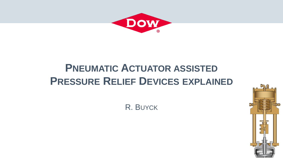

# **PNEUMATIC ACTUATOR ASSISTED PRESSURE RELIEF DEVICES EXPLAINED**

R. BUYCK

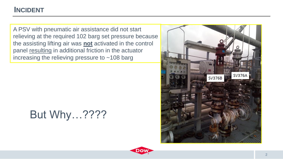#### **INCIDENT**

A PSV with pneumatic air assistance did not start relieving at the required 102 barg set pressure because the assisting lifting air was **not** activated in the control panel resulting in additional friction in the actuator increasing the relieving pressure to  $\sim$  108 barg

# But Why…????



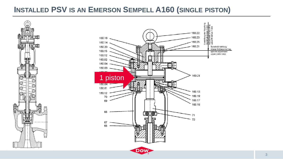#### **INSTALLED PSV IS AN EMERSON SEMPELL A160 (SINGLE PISTON)**

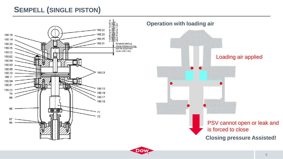

General Business

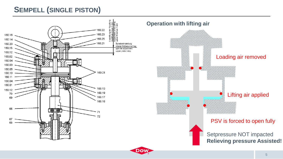

General Business

Loading air removed Lifting air applied  $\bullet$ PSV is forced to open fully

> Setpressure NOT impacted **Relieving pressure Assisted!**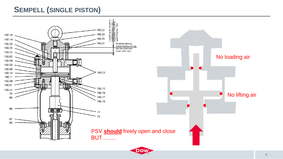

DOV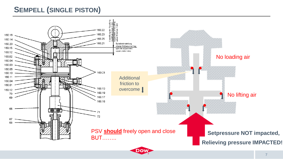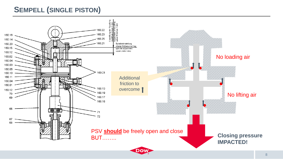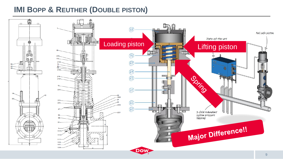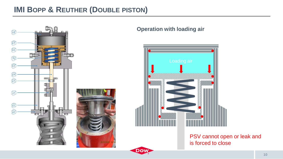

#### **Operation with loading air**

General Business

DOI



PSV cannot open or leak and is forced to close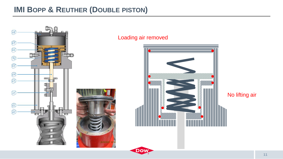

General Business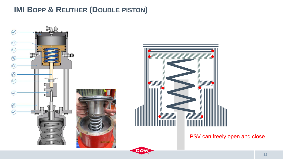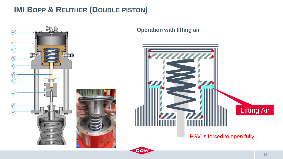

General Business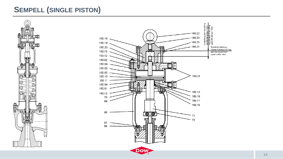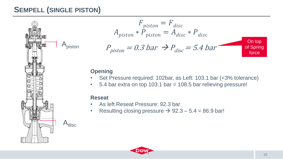

$$
F_{piston} = F_{disc}
$$
  
\n
$$
A_{piston} * P_{piston} = A_{disc} * P_{disc}
$$
  
\n
$$
P_{piston} = 0.3 bar \implies P_{disc} = 5.4 bar
$$
  
\nOn top  
\nof Spring force

#### **Opening**

- Set Pressure required: 102bar, as Left: 103.1 bar (<3% tolerance)
- 5.4 bar extra on top 103.1 bar = 108.5 bar relieving pressure!

#### **Reseat**

- As left Reseat Pressure: 92.3 bar
- Resulting closing pressure  $\rightarrow$  92.3 5.4 = 86.9 bar!

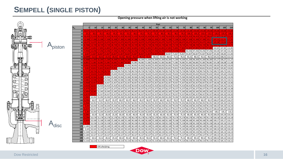#### **Opening pressure when lifting air is not working**



General Business

**Dow** 

>3% afwijking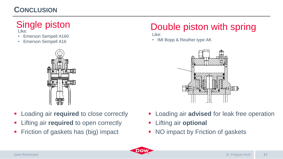### **CONCLUSION**

# Like:

- Emerson Sempell A160
- Emerson Sempell A16



- **EXECUTE:** Loading air **required** to close correctly
- **EXTERG** 1 Lifting air **required** to open correctly
- Friction of gaskets has (big) impact

# Single piston **Double piston with spring**

Like:

• IMI Bopp & Reuther type AK



- **EXEC** Loading air **advised** for leak free operation
- **Lifting air optional**
- NO impact by Friction of gaskets